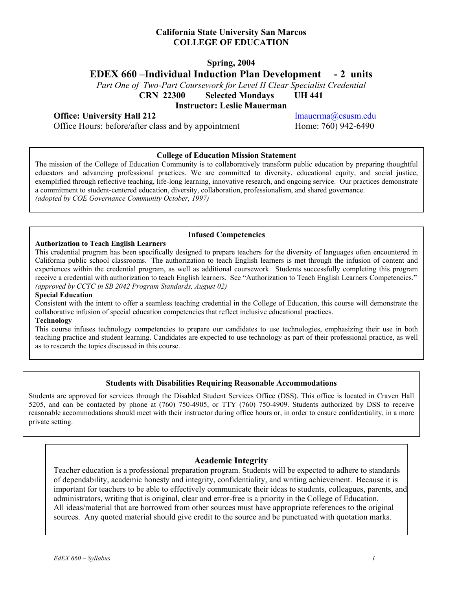### **California State University San Marcos COLLEGE OF EDUCATION**

# **Spring, 2004**

**EDEX 660 –Individual Induction Plan Development - 2 units** 

*Part One of Two-Part Coursework for Level II Clear Specialist Credential* 

**CRN 22300 Selected Mondays UH 441** 

**Instructor: Leslie Mauerman** 

### **Office:** University Hall 212 lmauerma@csusm.edu

Office Hours: before/after class and by appointment Home: 760) 942-6490

#### **College of Education Mission Statement**

The mission of the College of Education Community is to collaboratively transform public education by preparing thoughtful educators and advancing professional practices. We are committed to diversity, educational equity, and social justice, exemplified through reflective teaching, life-long learning, innovative research, and ongoing service. Our practices demonstrate a commitment to student-centered education, diversity, collaboration, professionalism, and shared governance. *(adopted by COE Governance Community October, 1997)*

#### **Authorization to Teach English Learners**

#### **Infused Competencies**

This credential program has been specifically designed to prepare teachers for the diversity of languages often encountered in California public school classrooms. The authorization to teach English learners is met through the infusion of content and experiences within the credential program, as well as additional coursework. Students successfully completing this program receive a credential with authorization to teach English learners. See "Authorization to Teach English Learners Competencies." *(approved by CCTC in SB 2042 Program Standards, August 02)* 

#### **Special Education**

Consistent with the intent to offer a seamless teaching credential in the College of Education, this course will demonstrate the collaborative infusion of special education competencies that reflect inclusive educational practices.

### **Technology**

This course infuses technology competencies to prepare our candidates to use technologies, emphasizing their use in both teaching practice and student learning. Candidates are expected to use technology as part of their professional practice, as well as to research the topics discussed in this course.

#### **Students with Disabilities Requiring Reasonable Accommodations**

Students are approved for services through the Disabled Student Services Office (DSS). This office is located in Craven Hall 5205, and can be contacted by phone at (760) 750-4905, or TTY (760) 750-4909. Students authorized by DSS to receive reasonable accommodations should meet with their instructor during office hours or, in order to ensure confidentiality, in a more private setting.

#### **Academic Integrity**

Teacher education is a professional preparation program. Students will be expected to adhere to standards of dependability, academic honesty and integrity, confidentiality, and writing achievement. Because it is important for teachers to be able to effectively communicate their ideas to students, colleagues, parents, and administrators, writing that is original, clear and error-free is a priority in the College of Education. All ideas/material that are borrowed from other sources must have appropriate references to the original sources. Any quoted material should give credit to the source and be punctuated with quotation marks.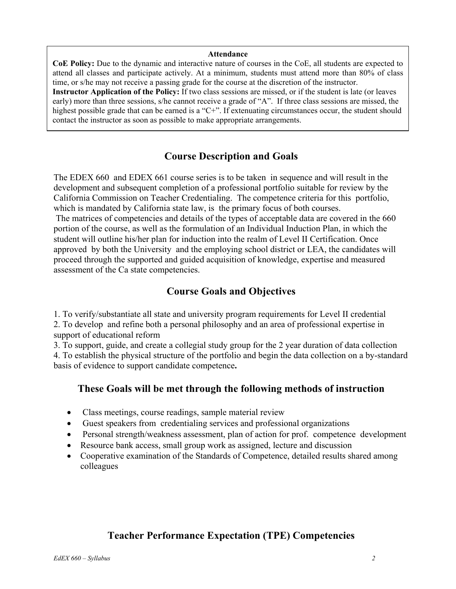#### **Attendance**

**CoE Policy:** Due to the dynamic and interactive nature of courses in the CoE, all students are expected to attend all classes and participate actively. At a minimum, students must attend more than 80% of class time, or s/he may not receive a passing grade for the course at the discretion of the instructor. **Instructor Application of the Policy:** If two class sessions are missed, or if the student is late (or leaves early) more than three sessions, s/he cannot receive a grade of "A". If three class sessions are missed, the highest possible grade that can be earned is a "C+". If extenuating circumstances occur, the student should contact the instructor as soon as possible to make appropriate arrangements.

# **Course Description and Goals**

The EDEX 660 and EDEX 661 course series is to be taken in sequence and will result in the development and subsequent completion of a professional portfolio suitable for review by the California Commission on Teacher Credentialing. The competence criteria for this portfolio, which is mandated by California state law, is the primary focus of both courses.

 The matrices of competencies and details of the types of acceptable data are covered in the 660 portion of the course, as well as the formulation of an Individual Induction Plan, in which the student will outline his/her plan for induction into the realm of Level II Certification. Once approved by both the University and the employing school district or LEA, the candidates will proceed through the supported and guided acquisition of knowledge, expertise and measured assessment of the Ca state competencies.

# **Course Goals and Objectives**

1. To verify/substantiate all state and university program requirements for Level II credential

2. To develop and refine both a personal philosophy and an area of professional expertise in support of educational reform

3. To support, guide, and create a collegial study group for the 2 year duration of data collection 4. To establish the physical structure of the portfolio and begin the data collection on a by-standard basis of evidence to support candidate competence**.** 

# **These Goals will be met through the following methods of instruction**

- Class meetings, course readings, sample material review
- Guest speakers from credentialing services and professional organizations
- Personal strength/weakness assessment, plan of action for prof. competence development
- Resource bank access, small group work as assigned, lecture and discussion
- Cooperative examination of the Standards of Competence, detailed results shared among colleagues

# **Teacher Performance Expectation (TPE) Competencies**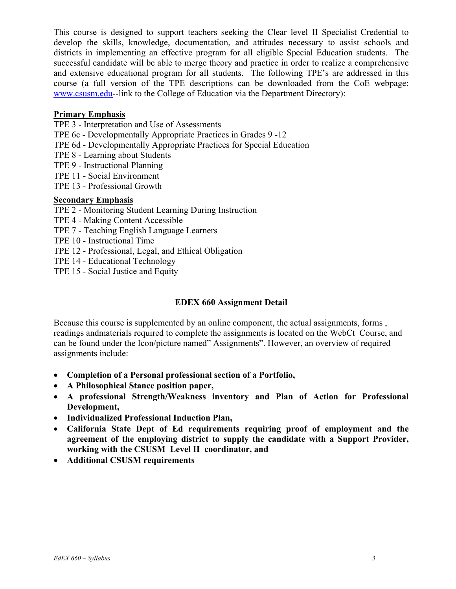This course is designed to support teachers seeking the Clear level II Specialist Credential to develop the skills, knowledge, documentation, and attitudes necessary to assist schools and districts in implementing an effective program for all eligible Special Education students. The successful candidate will be able to merge theory and practice in order to realize a comprehensive and extensive educational program for all students. The following TPE's are addressed in this course (a full version of the TPE descriptions can be downloaded from the CoE webpage: www.csusm.edu--link to the College of Education via the Department Directory):

## **Primary Emphasis**

- TPE 3 Interpretation and Use of Assessments
- TPE 6c Developmentally Appropriate Practices in Grades 9 -12
- TPE 6d Developmentally Appropriate Practices for Special Education
- TPE 8 Learning about Students
- TPE 9 Instructional Planning
- TPE 11 Social Environment
- TPE 13 Professional Growth

## **Secondary Emphasis**

- TPE 2 Monitoring Student Learning During Instruction
- TPE 4 Making Content Accessible
- TPE 7 Teaching English Language Learners
- TPE 10 Instructional Time
- TPE 12 Professional, Legal, and Ethical Obligation
- TPE 14 Educational Technology
- TPE 15 Social Justice and Equity

# **EDEX 660 Assignment Detail**

Because this course is supplemented by an online component, the actual assignments, forms , readings andmaterials required to complete the assignments is located on the WebCt Course, and can be found under the Icon/picture named" Assignments". However, an overview of required assignments include:

- **Completion of a Personal professional section of a Portfolio,**
- **A Philosophical Stance position paper,**
- **A professional Strength/Weakness inventory and Plan of Action for Professional Development,**
- **Individualized Professional Induction Plan,**
- **California State Dept of Ed requirements requiring proof of employment and the agreement of the employing district to supply the candidate with a Support Provider, working with the CSUSM Level II coordinator, and**
- **Additional CSUSM requirements**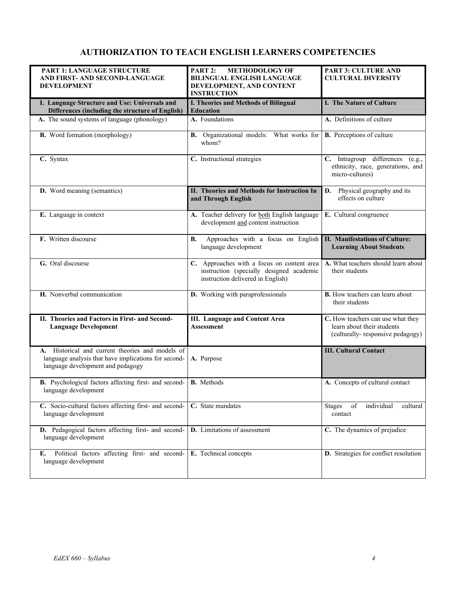# **AUTHORIZATION TO TEACH ENGLISH LEARNERS COMPETENCIES**

| PART 1: LANGUAGE STRUCTURE                                                                                                                    | PART 2:<br><b>METHODOLOGY OF</b>                                                                                            | <b>PART 3: CULTURE AND</b>                                                                          |
|-----------------------------------------------------------------------------------------------------------------------------------------------|-----------------------------------------------------------------------------------------------------------------------------|-----------------------------------------------------------------------------------------------------|
| AND FIRST- AND SECOND-LANGUAGE                                                                                                                | <b>BILINGUAL ENGLISH LANGUAGE</b>                                                                                           | <b>CULTURAL DIVERSITY</b>                                                                           |
| <b>DEVELOPMENT</b>                                                                                                                            | DEVELOPMENT, AND CONTENT<br><b>INSTRUCTION</b>                                                                              |                                                                                                     |
| I. Language Structure and Use: Universals and<br>Differences (including the structure of English)                                             | I. Theories and Methods of Bilingual<br><b>Education</b>                                                                    | <b>I. The Nature of Culture</b>                                                                     |
| A. The sound systems of language (phonology)                                                                                                  | A. Foundations                                                                                                              | A. Definitions of culture                                                                           |
| <b>B.</b> Word formation (morphology)                                                                                                         | B. Organizational models: What works for<br>whom?                                                                           | <b>B.</b> Perceptions of culture                                                                    |
| C. Syntax                                                                                                                                     | C. Instructional strategies                                                                                                 | C. Intragroup differences (e.g.,<br>ethnicity, race, generations, and<br>micro-cultures)            |
| <b>D.</b> Word meaning (semantics)                                                                                                            | II. Theories and Methods for Instruction In<br>and Through English                                                          | Physical geography and its<br>D.<br>effects on culture                                              |
| E. Language in context                                                                                                                        | A. Teacher delivery for both English language<br>development and content instruction                                        | E. Cultural congruence                                                                              |
| F. Written discourse                                                                                                                          | Approaches with a focus on English<br>В.<br>language development                                                            | <b>II. Manifestations of Culture:</b><br><b>Learning About Students</b>                             |
| G. Oral discourse                                                                                                                             | C. Approaches with a focus on content area<br>instruction (specially designed academic<br>instruction delivered in English) | A. What teachers should learn about<br>their students                                               |
| H. Nonverbal communication                                                                                                                    | D. Working with paraprofessionals                                                                                           | <b>B.</b> How teachers can learn about<br>their students                                            |
| II. Theories and Factors in First- and Second-<br><b>Language Development</b>                                                                 | <b>III.</b> Language and Content Area<br><b>Assessment</b>                                                                  | C. How teachers can use what they<br>learn about their students<br>(culturally-responsive pedagogy) |
| A. Historical and current theories and models of<br>language analysis that have implications for second-<br>language development and pedagogy | A. Purpose                                                                                                                  | <b>III. Cultural Contact</b>                                                                        |
| B. Psychological factors affecting first- and second-<br>language development                                                                 | <b>B.</b> Methods                                                                                                           | A. Concepts of cultural contact                                                                     |
| C. Socio-cultural factors affecting first- and second-<br>language development                                                                | C. State mandates                                                                                                           | of<br>individual<br>cultural<br><b>Stages</b><br>contact                                            |
| D. Pedagogical factors affecting first- and second-<br>language development                                                                   | D. Limitations of assessment                                                                                                | C. The dynamics of prejudice                                                                        |
| Political factors affecting first- and second-<br>E.<br>language development                                                                  | E. Technical concepts                                                                                                       | D. Strategies for conflict resolution                                                               |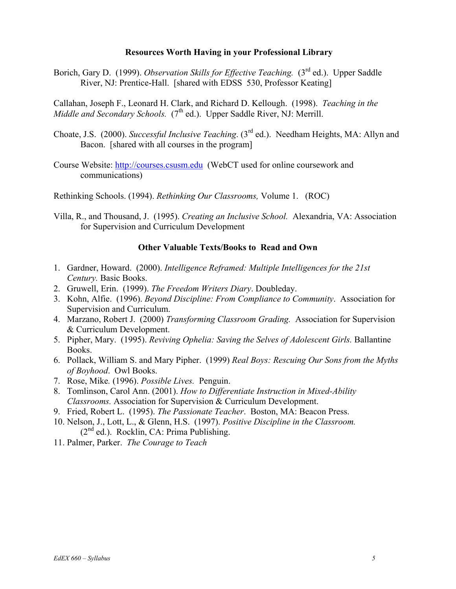### **Resources Worth Having in your Professional Library**

Borich, Gary D. (1999). *Observation Skills for Effective Teaching.* (3<sup>rd</sup> ed.). Upper Saddle River, NJ: Prentice-Hall. [shared with EDSS 530, Professor Keating]

Callahan, Joseph F., Leonard H. Clark, and Richard D. Kellough. (1998). *Teaching in the Middle and Secondary Schools.* (7<sup>th</sup> ed.). Upper Saddle River, NJ: Merrill.

- Choate, J.S. (2000). *Successful Inclusive Teaching*. (3rd ed.). Needham Heights, MA: Allyn and Bacon. [shared with all courses in the program]
- Course Website: http://courses.csusm.edu (WebCT used for online coursework and communications)

Rethinking Schools. (1994). *Rethinking Our Classrooms,* Volume 1. (ROC)

Villa, R., and Thousand, J. (1995). *Creating an Inclusive School.* Alexandria, VA: Association for Supervision and Curriculum Development

### **Other Valuable Texts/Books to Read and Own**

- 1. Gardner, Howard. (2000). *Intelligence Reframed: Multiple Intelligences for the 21st Century.* Basic Books.
- 2. Gruwell, Erin. (1999). *The Freedom Writers Diary*. Doubleday.
- 3. Kohn, Alfie. (1996). *Beyond Discipline: From Compliance to Community*. Association for Supervision and Curriculum.
- 4. Marzano, Robert J. (2000) *Transforming Classroom Grading.* Association for Supervision & Curriculum Development.
- 5. Pipher, Mary. (1995). *Reviving Ophelia: Saving the Selves of Adolescent Girls.* Ballantine Books.
- 6. Pollack, William S. and Mary Pipher. (1999) *Real Boys: Rescuing Our Sons from the Myths of Boyhood*. Owl Books.
- 7. Rose, Mike*.* (1996). *Possible Lives.* Penguin.
- 8. Tomlinson, Carol Ann. (2001). *How to Differentiate Instruction in Mixed-Ability Classrooms.* Association for Supervision & Curriculum Development.
- 9. Fried, Robert L. (1995). *The Passionate Teacher*. Boston, MA: Beacon Press.
- 10. Nelson, J., Lott, L., & Glenn, H.S. (1997). *Positive Discipline in the Classroom.*  $(2<sup>nd</sup>$  ed.). Rocklin, CA: Prima Publishing.
- 11. Palmer, Parker. *The Courage to Teach*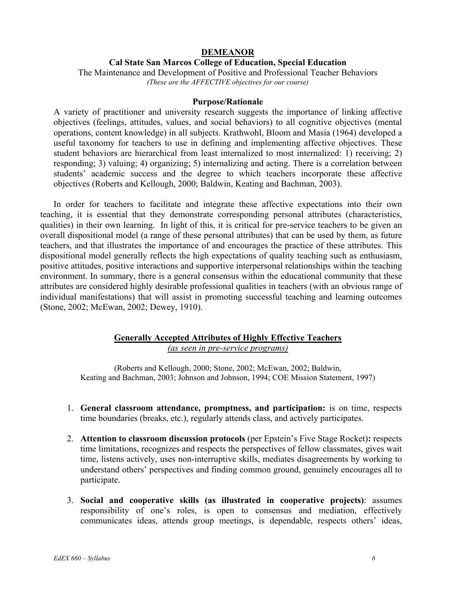### **DEMEANOR**

### **Cal State San Marcos College of Education, Special Education**

The Maintenance and Development of Positive and Professional Teacher Behaviors *(These are the AFFECTIVE objectives for our course)* 

#### **Purpose/Rationale**

A variety of practitioner and university research suggests the importance of linking affective objectives (feelings, attitudes, values, and social behaviors) to all cognitive objectives (mental operations, content knowledge) in all subjects. Krathwohl, Bloom and Masia (1964) developed a useful taxonomy for teachers to use in defining and implementing affective objectives. These student behaviors are hierarchical from least internalized to most internalized: 1) receiving; 2) responding; 3) valuing; 4) organizing; 5) internalizing and acting. There is a correlation between students' academic success and the degree to which teachers incorporate these affective objectives (Roberts and Kellough, 2000; Baldwin, Keating and Bachman, 2003).

In order for teachers to facilitate and integrate these affective expectations into their own teaching, it is essential that they demonstrate corresponding personal attributes (characteristics, qualities) in their own learning. In light of this, it is critical for pre-service teachers to be given an overall dispositional model (a range of these personal attributes) that can be used by them, as future teachers, and that illustrates the importance of and encourages the practice of these attributes. This dispositional model generally reflects the high expectations of quality teaching such as enthusiasm, positive attitudes, positive interactions and supportive interpersonal relationships within the teaching environment. In summary, there is a general consensus within the educational community that these attributes are considered highly desirable professional qualities in teachers (with an obvious range of individual manifestations) that will assist in promoting successful teaching and learning outcomes (Stone, 2002; McEwan, 2002; Dewey, 1910).

### **Generally Accepted Attributes of Highly Effective Teachers**

*(as seen in pre-service programs)* 

(Roberts and Kellough, 2000; Stone, 2002; McEwan, 2002; Baldwin, Keating and Bachman, 2003; Johnson and Johnson, 1994; COE Mission Statement, 1997)

- 1. **General classroom attendance, promptness, and participation:** is on time, respects time boundaries (breaks, etc.), regularly attends class, and actively participates.
- 2. **Attention to classroom discussion protocols** (per Epstein's Five Stage Rocket)**:** respects time limitations, recognizes and respects the perspectives of fellow classmates, gives wait time, listens actively, uses non-interruptive skills, mediates disagreements by working to understand others' perspectives and finding common ground, genuinely encourages all to participate.
- 3. **Social and cooperative skills (as illustrated in cooperative projects)**: assumes responsibility of one's roles, is open to consensus and mediation, effectively communicates ideas, attends group meetings, is dependable, respects others' ideas,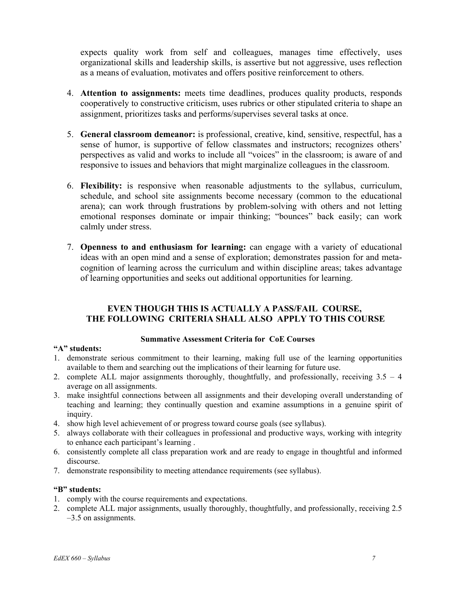expects quality work from self and colleagues, manages time effectively, uses organizational skills and leadership skills, is assertive but not aggressive, uses reflection as a means of evaluation, motivates and offers positive reinforcement to others.

- 4. **Attention to assignments:** meets time deadlines, produces quality products, responds cooperatively to constructive criticism, uses rubrics or other stipulated criteria to shape an assignment, prioritizes tasks and performs/supervises several tasks at once.
- 5. **General classroom demeanor:** is professional, creative, kind, sensitive, respectful, has a sense of humor, is supportive of fellow classmates and instructors; recognizes others' perspectives as valid and works to include all "voices" in the classroom; is aware of and responsive to issues and behaviors that might marginalize colleagues in the classroom.
- 6. **Flexibility:** is responsive when reasonable adjustments to the syllabus, curriculum, schedule, and school site assignments become necessary (common to the educational arena); can work through frustrations by problem-solving with others and not letting emotional responses dominate or impair thinking; "bounces" back easily; can work calmly under stress.
- 7. **Openness to and enthusiasm for learning:** can engage with a variety of educational ideas with an open mind and a sense of exploration; demonstrates passion for and metacognition of learning across the curriculum and within discipline areas; takes advantage of learning opportunities and seeks out additional opportunities for learning.

## **EVEN THOUGH THIS IS ACTUALLY A PASS/FAIL COURSE, THE FOLLOWING CRITERIA SHALL ALSO APPLY TO THIS COURSE**

### **Summative Assessment Criteria for CoE Courses**

## **"A" students:**

- 1. demonstrate serious commitment to their learning, making full use of the learning opportunities available to them and searching out the implications of their learning for future use.
- 2. complete ALL major assignments thoroughly, thoughtfully, and professionally, receiving 3.5 4 average on all assignments.
- 3. make insightful connections between all assignments and their developing overall understanding of teaching and learning; they continually question and examine assumptions in a genuine spirit of inquiry.
- 4. show high level achievement of or progress toward course goals (see syllabus).
- 5. always collaborate with their colleagues in professional and productive ways, working with integrity to enhance each participant's learning .
- 6. consistently complete all class preparation work and are ready to engage in thoughtful and informed discourse.
- 7. demonstrate responsibility to meeting attendance requirements (see syllabus).

#### **"B" students:**

- 1. comply with the course requirements and expectations.
- 2. complete ALL major assignments, usually thoroughly, thoughtfully, and professionally, receiving 2.5 –3.5 on assignments.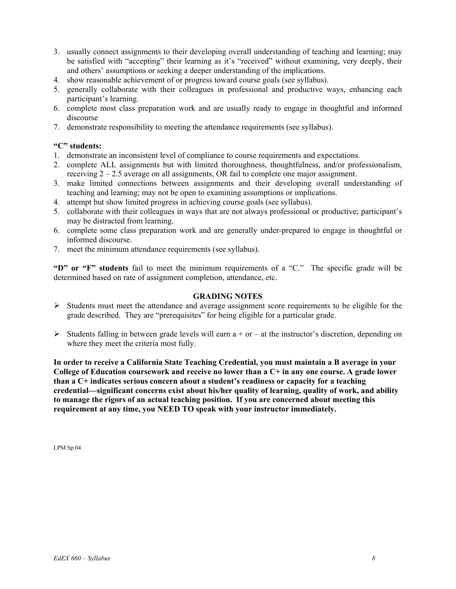- 3. usually connect assignments to their developing overall understanding of teaching and learning; may be satisfied with "accepting" their learning as it's "received" without examining, very deeply, their and others' assumptions or seeking a deeper understanding of the implications.
- 4. show reasonable achievement of or progress toward course goals (see syllabus).
- 5. generally collaborate with their colleagues in professional and productive ways, enhancing each participant's learning.
- 6. complete most class preparation work and are usually ready to engage in thoughtful and informed discourse
- 7. demonstrate responsibility to meeting the attendance requirements (see syllabus).

### **"C" students:**

- 1. demonstrate an inconsistent level of compliance to course requirements and expectations.
- 2. complete ALL assignments but with limited thoroughness, thoughtfulness, and/or professionalism, receiving  $2 - 2.5$  average on all assignments, OR fail to complete one major assignment.
- 3. make limited connections between assignments and their developing overall understanding of teaching and learning; may not be open to examining assumptions or implications.
- 4. attempt but show limited progress in achieving course goals (see syllabus).
- 5. collaborate with their colleagues in ways that are not always professional or productive; participant's may be distracted from learning.
- 6. complete some class preparation work and are generally under-prepared to engage in thoughtful or informed discourse.
- 7. meet the minimum attendance requirements (see syllabus).

**"D" or "F" students** fail to meet the minimum requirements of a "C." The specific grade will be determined based on rate of assignment completion, attendance, etc.

#### **GRADING NOTES**

- $\triangleright$  Students must meet the attendance and average assignment score requirements to be eligible for the grade described. They are "prerequisites" for being eligible for a particular grade.
- $\triangleright$  Students falling in between grade levels will earn a + or at the instructor's discretion, depending on where they meet the criteria most fully.

**In order to receive a California State Teaching Credential, you must maintain a B average in your College of Education coursework and receive no lower than a C+ in any one course. A grade lower than a C+ indicates serious concern about a student's readiness or capacity for a teaching credential—significant concerns exist about his/her quality of learning, quality of work, and ability to manage the rigors of an actual teaching position. If you are concerned about meeting this requirement at any time, you NEED TO speak with your instructor immediately.** 

LPM.Sp.04